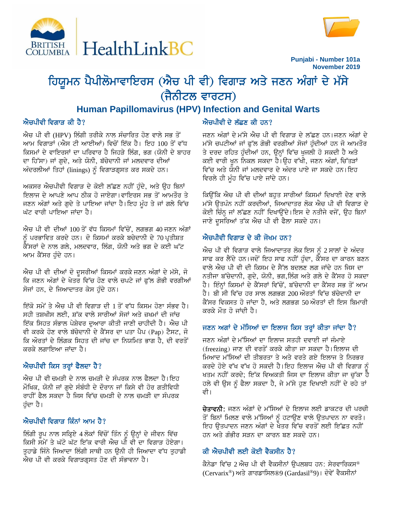



#### Punjabi - Number 101a November 2019

# ਹਿਯੂਮਨ ਪੈਪੀਲੋਮਾਵਾਇਰਸ (ਐਚ ਪੀ ਵੀ) ਵਿਗਾੜ ਅਤੇ ਜਣਨ ਅੰਗਾਂ ਦੇ ਮੱਸੇ (ਜੈਨੀਟਲ ਵਾਰਟਸ)

## **Human Papillomavirus (HPV) Infection and Genital Warts**

## ਐਜਪੀਵੀ ਵਿਗਾਤ ਕੀ ਹੈ?

ਐਚ ਪੀ ਵੀ (HPV) ਲਿੰਗੀ ਤਰੀਕੇ ਨਾਲ ਸੰਚਾਰਿਤ ਹੋਣ ਵਾਲੇ ਸਭ ਤੋਂ ਆਮ ਵਿਗਾੜਾਂ (ਐਸ ਟੀ ਆਈਆਂ) ਵਿਚੋਂ ਇੱਕ ਹੈ। ਇਹ 100 ਤੋਂ ਵੱਧ ਕਿਸਮਾਂ ਦੇ ਵਾਇਰਸਾਂ ਦਾ ਪਰਿਵਾਰ ਹੈ ਜਿਹੜੇ ਲਿੰਗ, ਭਗ (ਯੋਨੀ ਦੇ ਬਾਹਰ ਦਾ ਹਿੱਸਾ) ਜਾਂ ਗਦੇ, ਅਤੇ ਯੋਨੀ, ਬੱਚੇਦਾਨੀ ਜਾਂ ਮਲਦਵਾਰ ਦੀਆਂ ਅੰਦਰਲੀਆਂ ਤਿਹਾਂ (linings) ਨੂੰ ਵਿਗਾੜਗ੍ਰਸਤ ਕਰ ਸਕਦੇ ਹਨ।

ਅਕਸਰ ਐਚਪੀਵੀ ਵਿਗਾੜ ਦੇ ਕੋਈ ਲੱਛਣ ਨਹੀਂ ਹੰਦੇ, ਅਤੇ ਉਹ ਬਿਨਾਂ ਇਲਾਜ ਦੇ ਆਪਣੇ ਆਪ ਠੀਕ ਹੋ ਜਾਏਗਾ।ਵਾਇਰਸ ਸਭ ਤੋਂ ਆਮਤੌਰ ਤੇ ਜਣਨ ਅੰਗਾਂ ਅਤੇ ਗੁਦੇ ਤੇ ਪਾਇਆ ਜਾਂਦਾ ਹੈ।ਇਹ ਮੂੰਹ ਤੇ ਜਾਂ ਗਲੇ ਵਿੱਚ ਘੱਟ ਵਾਰੀ ਪਾਇਆ ਜਾਂਦਾ ਹੈ।

ਐਚ ਪੀ ਵੀ ਦੀਆਂ 100 ਤੋਂ ਵੱਧ ਕਿਸਮਾਂ ਵਿੱਚੋਂ, ਲਗਭਗ 40 ਜਣਨ ਅੰਗਾਂ ਨੂੰ ਪਰਭਾਵਿਤ ਕਰਦੇ ਹਨ। ਦੋ ਕਿਸਮਾਂ ਕਰਕੇ ਬਚੇਦਾਨੀ ਦੇ 70 ਪਤੀਸ਼ਤ ਕੈਂਸਰਾਂ ਦੇ ਨਾਲ ਗਲੇ, ਮਲਦਵਾਰ, ਲਿੰਗ, ਯੋਨੀ ਅਤੇ ਭਗ ਦੇ ਕਈ ਘੱਟ ਆਮ ਕੈਂਸਰ ਹੰਦੇ ਹਨ।

ਐਚ ਪੀ ਵੀ ਦੀਆਂ ਦੋ ਦੂਸਰੀਆਂ ਕਿਸਮਾਂ ਕਰਕੇ ਜਣਨ ਅੰਗਾਂ ਦੇ ਮੱਸੇ, ਜੋ ਕਿ ਜਣਨ ਅੰਗਾਂ ਦੇ ਖੇਤਰ ਵਿੱਚ ਹੋਣ ਵਾਲੇ ਚਪਟੇ ਜਾਂ ਫੱਲ ਗੋਭੀ ਵਰਗੀਆਂ ਸੋਜਾਂ ਹਨ, ਦੇ ਜਿਆਦਾਤਰ ਕੇਸ ਹੁੰਦੇ ਹਨ।

ਇੱਕੋ ਸਮੇਂ ਤੇ ਐਚ ਪੀ ਵੀ ਵਿਗਾਤ ਦੀ 1 ਤੋਂ ਵੱਧ ਕਿਸਮ ਹੋਣਾ ਸੰਭਵ ਹੈ। ਸਹੀ ਤਸ਼ਖੀਸ ਲਈ, ਸ਼ੱਕ ਵਾਲੇ ਸਾਰੀਆਂ ਸੋਜਾਂ ਅਤੇ ਜ਼ਖਮਾਂ ਦੀ ਜਾਂਚ ਇੱਕ ਸਿਹਤ ਸੰਭਾਲ ਪੇਸ਼ੇਵਰ ਦੁਆਰਾ ਕੀਤੀ ਜਾਣੀ ਚਾਹੀਦੀ ਹੈ। ਐਚ ਪੀ ਵੀ ਕਰਕੇ ਹੋਣ ਵਾਲੇ ਬੱਚੇਦਾਨੀ ਦੇ ਕੈਂਸਰ ਦਾ ਪਤਾ ਪੈਪ (Pap) ਟੈਸਟ, ਜੋ ਕਿ ਔਰਤਾਂ ਦੇ ਲਿੰਗਕ ਸਿਹਤ ਦੀ ਜਾਂਚ ਦਾ ਨਿਯਮਿਤ ਭਾਗ ਹੈ, ਦੀ ਵਰਤੋਂ ਕਰਕੇ ਲਗਾਇਆ ਜਾਂਦਾ ਹੈ।

## ਐਚਪੀਵੀ ਕਿਸ ਤਰ੍ਹਾਂ ਫੈਲਦਾ ਹੈ?

ਐਚ ਪੀ ਵੀ ਚਮੜੀ ਦੇ ਨਾਲ ਚਮੜੀ ਦੇ ਸੰਪਰਕ ਨਾਲ ਫੈਲਦਾ ਹੈ।ਇਹ ਮੌਖਿਕ, ਯੋਨੀ ਜਾਂ ਗਦੇ ਸੰਬੰਧੀ ਦੇ ਦੌਰਾਨ ਜਾਂ ਕਿਸੇ ਵੀ ਹੋਰ ਗਤੀਵਿਧੀ ਰਾਹੀਂ ਫੈਲ ਸਕਦਾ ਹੈ ਜਿਸ ਵਿੱਚ ਚਮੜੀ ਦੇ ਨਾਲ ਚਮੜੀ ਦਾ ਸੰਪਰਕ ਹੰਦਾ ਹੈ।

## ਐਚਪੀਵੀ ਵਿਗਾੜ ਕਿੰਨਾਂ ਆਮ ਹੈ?

ਲਿੰਗੀ ਰੂਪ ਨਾਲ ਸਕ੍ਰਿਏ 4 ਲੋਕਾਂ ਵਿੱਚੋਂ ਤਿੰਨ ਨੂੰ ਉਨ੍ਹਾਂ ਦੇ ਜੀਵਨ ਵਿੱਚ ਕਿਸੀ ਸਮੇਂ ਤੇ ਘੱਟੋ ਘੱਟ ਇੱਕ ਵਾਰੀ ਐਚ ਪੀ ਵੀ ਦਾ ਵਿਗਾੜ ਹੋਏਗਾ। ਤਹਾਡੇ ਜਿੰਨੇ ਜਿਆਦਾ ਲਿੰਗੀ ਸਾਥੀ ਹਨ ਉਨੀ ਹੀ ਜਿਆਦਾ ਵੱਧ ਤਹਾਡੀ ਐਚ ਪੀ ਵੀ ਕਰਕੇ ਵਿਗਾੜਗੁਸਤ ਹੋਣ ਦੀ ਸੰਭਾਵਨਾ ਹੈ।

## ਐਜਪੀਵੀ ਦੇ ਲੱਛਣ ਕੀ ਹਨ?

ਜਣਨ ਅੰਗਾਂ ਦੇ ਮੱਸੇ ਐਚ ਪੀ ਵੀ ਵਿਗਾੜ ਦੇ ਲੱਛਣ ਹਨ।ਜਣਨ ਅੰਗਾਂ ਦੇ ਮੱਸੇ ਚਪਟੀਆਂ ਜਾਂ ਫੱਲ ਗੋਭੀ ਵਰਗੀਆਂ ਸੋਜਾਂ ਹੰਦੀਆਂ ਹਨ ਜੋ ਆਮਤੌਰ ਤੇ ਦਰਦ ਰਹਿਤ ਹੁੰਦੀਆਂ ਹਨ, ਉਨ੍ਹਾਂ ਵਿੱਚ ਖੁਜਲੀ ਹੋ ਸਕਦੀ ਹੈ ਅਤੇ ਕਈ ਵਾਰੀ ਖੂਨ ਨਿਕਲ ਸਕਦਾ ਹੈ।ਉਹ ਵੱਖੀ, ਜਣਨ ਅੰਗਾਂ, ਚਿੱਤੜਾਂ ਵਿੱਚ ਅਤੇ ਯੋਨੀ ਜਾਂ ਮਲਦਵਾਰ ਦੇ ਅੰਦਰ ਪਾਏ ਜਾ ਸਕਦੇ ਹਨ।ਇਹ ਵਿਰਲੇ ਹੀ ਮੰਹ ਵਿੱਚ ਪਾਏ ਜਾਂਦੇ ਹਨ।

ਕਿਉਂਕਿ ਐਚ ਪੀ ਵੀ ਦੀਆਂ ਬਹਤ ਸਾਰੀਆਂ ਕਿਸਮਾਂ ਦਿਖਾਈ ਦੇਣ ਵਾਲੇ ਮੱਸੇ ਉਤਪੰਨ ਨਹੀਂ ਕਰਦੀਆਂ, ਜਿਆਦਾਤਰ ਲੋਕ ਐਚ ਪੀ ਵੀ ਵਿਗਾੜ ਦੇ ਕੋਈ ਚਿੰਨ੍ਹ ਜਾਂ ਲੱਛਣ ਨਹੀਂ ਦਿਖਾਉਂਦੇ।ਇਸ ਦੇ ਨਤੀਜੇ ਵਜੋਂ, ਉਹ ਬਿਨਾਂ ਜਾਣੇ ਦੂਸਰਿਆਂ ਤੱਕ ਐਚ ਪੀ ਵੀ ਫੈਲਾ ਸਕਦੇ ਹਨ।

## ਐਚਪੀਵੀ ਵਿਗਾੜ ਦੇ ਕੀ ਜੋਖਮ ਹਨ?

ਐਚ ਪੀ ਵੀ ਵਿਗਾੜ ਵਾਲੇ ਜਿਆਦਾਤਰ ਲੋਕ ਇਸ ਨੂੰ 2 ਸਾਲਾਂ ਦੇ ਅੰਦਰ ਸਾਫ ਕਰ ਲੈਂਦੇ ਹਨ।ਜਦੋਂ ਇਹ ਸਾਫ ਨਹੀਂ ਹੰਦਾ, ਕੈਂਸਰ ਦਾ ਕਾਰਨ ਬਣਨ ਵਾਲੇ ਐਚ ਪੀ ਵੀ ਦੀ ਕਿਸਮ ਦੇ ਸੈੱਲ ਬਦਲਣ ਲਗ ਜਾਂਦੇ ਹਨ ਜਿਸ ਦਾ ਨਤੀਜਾ ਬੱਚੇਦਾਨੀ, ਗਦੇ, ਯੋਨੀ, ਭਗ,ਲਿੰਗ ਅਤੇ ਗਲੇ ਦੇ ਕੈਂਸਰ ਹੋ ਸਕਦਾ ਹੈ। ਇੰਨ੍ਹਾਂ ਕਿਸਮਾਂ ਦੇ ਕੈਂਸਰਾਂ ਵਿੱਚੋਂ, ਬੱਚੇਦਾਨੀ ਦਾ ਕੈਂਸਰ ਸਭ ਤੋਂ ਆਮ ਹੈ। ਬੀ ਸੀ ਵਿੱਚ ਹਰ ਸਾਲ ਲਗਭਗ 200 ਔਰਤਾਂ ਵਿੱਚ ਬੱਚੇਦਾਨੀ ਦਾ ਕੈਂਸਰ ਵਿਕਸਤ ਹੋ ਜਾਂਦਾ ਹੈ. ਅਤੇ ਲਗਭਗ 50 ਔਰਤਾਂ ਦੀ ਇਸ ਬਿਮਾਰੀ ਕਰਕੇ ਮੌਤ ਹੋ ਜਾਂਦੀ ਹੈ।

#### ਜਣਨ ਅਗਾਂ ਦੇ ਮੱਸਿਆਂ ਦਾ ਇਲਾਜ ਕਿਸ ਤਰ੍ਹਾਂ ਕੀਤਾ ਜਾਂਦਾ ਹੈ?

ਜਣਨ ਅੰਗਾਂ ਦੇ ਮੱਸਿਆਂ ਦਾ ਇਲਾਜ ਸਤਹੀ ਦਵਾਈ ਜਾਂ ਜੰਮਾਏ (freezing) ਜਾਣ ਦੀ ਵਰਤੋਂ ਕਰਕੇ ਕੀਤਾ ਜਾ ਸਕਦਾ ਹੈ।ਇਲਾਜ ਦੀ ਮਿਆਦ ਮੱਸਿਆਂ ਦੀ ਤੀਬਰਤਾ ਤੇ ਅਤੇ ਵਰਤੇ ਗਏ ਇਲਾਜ ਤੇ ਨਿਰਭਰ ਕਰਦੇ ਹੋਏ ਵੱਖ ਵੱਖ ਹੋ ਸਕਦੀ ਹੈ।ਇਹ ਇਲਾਜ ਐਚ ਪੀ ਵੀ ਵਿਗਾੜ ਨੰ ਖਤਮ ਨਹੀਂ ਕਰਦੇ; ਇੱਕ ਵਿਅਕਤੀ ਜਿਸ ਦਾ ਇਲਾਜ ਕੀਤਾ ਜਾ ਚੁੱਕਾ ਹੈ ਹਲੇ ਵੀ ਉਸ ਨੂੰ ਫੈਲਾ ਸਕਦਾ ਹੈ, ਜੇ ਮੱਸੇ ਹਣ ਦਿਖਾਈ ਨਹੀਂ ਦੇ ਰਹੇ ਤਾਂ ਵੀ।

ਚੇਤਾਵਨੀ: ਜਣਨ ਅੰਗਾਂ ਦੇ ਮੱਸਿਆਂ ਦੇ ਇਲਾਜ ਲਈ ਡਾਕਟਰ ਦੀ ਪਰਚੀ ਤੋਂ ਬਿਨਾਂ ਮਿਲਣ ਵਾਲੇ ਮੱਸਿਆਂ ਨੂੰ ਹਟਾਉਣ ਵਾਲੇ ਉਤਪਾਦਨ ਨਾ ਵਰਤੋ। ਇਹ ਉਤਪਾਦਨ ਜਣਨ ਅੰਗਾਂ ਦੇ ਖੇਤਰ ਵਿੱਚ ਵਰਤੋਂ ਲਈ ਇੱਛਤ ਨਹੀਂ ਹਨ ਅਤੇ ਗੰਭੀਰ ਸੜਨ ਦਾ ਕਾਰਨ ਬਣ ਸਕਦੇ ਹਨ।

## ਕੀ ਐਚਪੀਵੀ ਲਈ ਕੋਈ ਵੈਕਸੀਨ ਹੈ?

ਕੈਨੇਡਾ ਵਿੱਚ 2 ਐਚ ਪੀ ਵੀ ਵੈਕਸੀਨਾਂ ਉਪਲਬਧ ਹਨ: ਸੇਰਵਾਰਿਕਸ® (Cervarix®) ਅਤੇ ਗਾਰਡਾਸਿਲ®9 (Gardasil®9)। ਦੋਵੇਂ ਵੈਕਸੀਨਾਂ